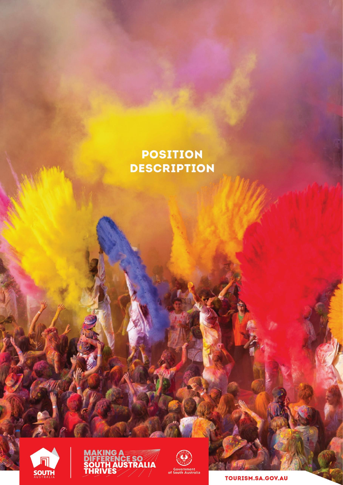# **POSITION DESCRIPTION**







TOURISM.SA.GOV.AU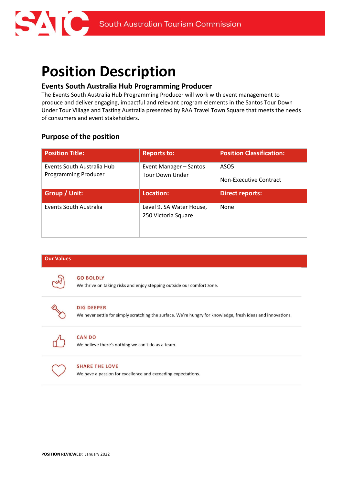

# **Position Description**

# **Events South Australia Hub Programming Producer**

The Events South Australia Hub Programming Producer will work with event management to produce and deliver engaging, impactful and relevant program elements in the Santos Tour Down Under Tour Village and Tasting Australia presented by RAA Travel Town Square that meets the needs of consumers and event stakeholders.

# **Purpose of the position**

| <b>Position Title:</b>                                    | <b>Reports to:</b>                               | <b>Position Classification:</b>                   |
|-----------------------------------------------------------|--------------------------------------------------|---------------------------------------------------|
| Events South Australia Hub<br><b>Programming Producer</b> | Event Manager - Santos<br><b>Tour Down Under</b> | ASO <sub>5</sub><br><b>Non-Executive Contract</b> |
| <b>Group / Unit:</b>                                      | Location:                                        | <b>Direct reports:</b>                            |
|                                                           |                                                  |                                                   |

# **Our Values**



#### **GO BOLDLY**

We thrive on taking risks and enjoy stepping outside our comfort zone.



# **DIG DEEPER**

We never settle for simply scratching the surface. We're hungry for knowledge, fresh ideas and innovations.



# **CAN DO**

We believe there's nothing we can't do as a team.



#### **SHARE THE LOVE**

We have a passion for excellence and exceeding expectations.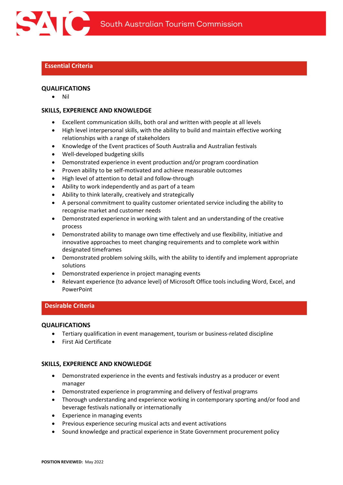

# **Essential Criteria**

# **QUALIFICATIONS**

• Nil

# **SKILLS, EXPERIENCE AND KNOWLEDGE**

- Excellent communication skills, both oral and written with people at all levels
- High level interpersonal skills, with the ability to build and maintain effective working relationships with a range of stakeholders
- Knowledge of the Event practices of South Australia and Australian festivals
- Well-developed budgeting skills
- Demonstrated experience in event production and/or program coordination
- Proven ability to be self-motivated and achieve measurable outcomes
- High level of attention to detail and follow-through
- Ability to work independently and as part of a team
- Ability to think laterally, creatively and strategically
- A personal commitment to quality customer orientated service including the ability to recognise market and customer needs
- Demonstrated experience in working with talent and an understanding of the creative process
- Demonstrated ability to manage own time effectively and use flexibility, initiative and innovative approaches to meet changing requirements and to complete work within designated timeframes
- Demonstrated problem solving skills, with the ability to identify and implement appropriate solutions
- Demonstrated experience in project managing events
- Relevant experience (to advance level) of Microsoft Office tools including Word, Excel, and PowerPoint

# **Desirable Criteria**

# **QUALIFICATIONS**

- Tertiary qualification in event management, tourism or business-related discipline
- First Aid Certificate

# **SKILLS, EXPERIENCE AND KNOWLEDGE**

- Demonstrated experience in the events and festivals industry as a producer or event manager
- Demonstrated experience in programming and delivery of festival programs
- Thorough understanding and experience working in contemporary sporting and/or food and beverage festivals nationally or internationally
- Experience in managing events
- Previous experience securing musical acts and event activations
- Sound knowledge and practical experience in State Government procurement policy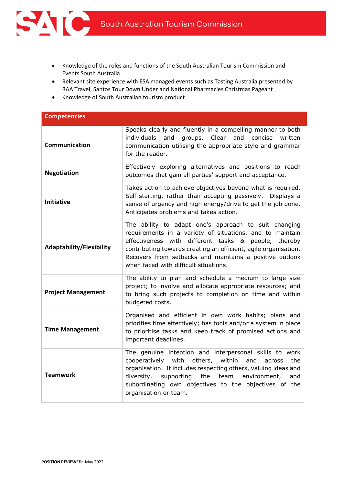

- Knowledge of the roles and functions of the South Australian Tourism Commission and Events South Australia
- Relevant site experience with ESA managed events such as Tasting Australia presented by RAA Travel, Santos Tour Down Under and National Pharmacies Christmas Pageant
- Knowledge of South Australian tourism product

| <b>Competencies</b>             |                                                                                                                                                                                                                                                                                                                                                    |
|---------------------------------|----------------------------------------------------------------------------------------------------------------------------------------------------------------------------------------------------------------------------------------------------------------------------------------------------------------------------------------------------|
| Communication                   | Speaks clearly and fluently in a compelling manner to both<br>individuals<br>groups. Clear<br>and<br>and<br>concise<br>written<br>communication utilising the appropriate style and grammar<br>for the reader.                                                                                                                                     |
| <b>Negotiation</b>              | Effectively exploring alternatives and positions to reach<br>outcomes that gain all parties' support and acceptance.                                                                                                                                                                                                                               |
| <b>Initiative</b>               | Takes action to achieve objectives beyond what is required.<br>Self-starting, rather than accepting passively. Displays a<br>sense of urgency and high energy/drive to get the job done.<br>Anticipates problems and takes action.                                                                                                                 |
| <b>Adaptability/Flexibility</b> | The ability to adapt one's approach to suit changing<br>requirements in a variety of situations, and to maintain<br>effectiveness with<br>different tasks & people, thereby<br>contributing towards creating an efficient, agile organisation.<br>Recovers from setbacks and maintains a positive outlook<br>when faced with difficult situations. |
| <b>Project Management</b>       | The ability to plan and schedule a medium to large size<br>project; to involve and allocate appropriate resources; and<br>to bring such projects to completion on time and within<br>budgeted costs.                                                                                                                                               |
| <b>Time Management</b>          | Organised and efficient in own work habits; plans and<br>priorities time effectively; has tools and/or a system in place<br>to prioritise tasks and keep track of promised actions and<br>important deadlines.                                                                                                                                     |
| <b>Teamwork</b>                 | The genuine intention and interpersonal skills to work<br>with<br>within<br>the<br>others,<br>and<br>cooperatively<br>across<br>organisation. It includes respecting others, valuing ideas and<br>the<br>team<br>environment,<br>diversity,<br>supporting<br>and<br>subordinating own objectives to the objectives of the<br>organisation or team. |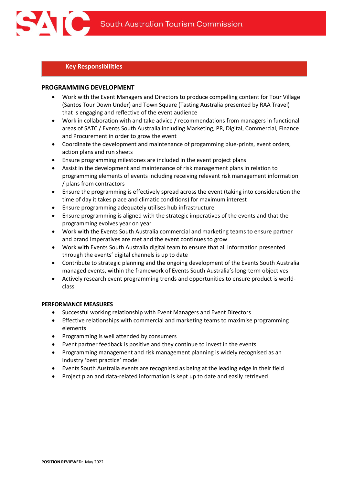# **Key Responsibilities**

# **PROGRAMMING DEVELOPMENT**

- Work with the Event Managers and Directors to produce compelling content for Tour Village (Santos Tour Down Under) and Town Square (Tasting Australia presented by RAA Travel) that is engaging and reflective of the event audience
- Work in collaboration with and take advice / recommendations from managers in functional areas of SATC / Events South Australia including Marketing, PR, Digital, Commercial, Finance and Procurement in order to grow the event
- Coordinate the development and maintenance of progamming blue-prints, event orders, action plans and run sheets
- Ensure programming milestones are included in the event project plans
- Assist in the development and maintenance of risk management plans in relation to programming elements of events including receiving relevant risk management information / plans from contractors
- Ensure the programming is effectively spread across the event (taking into consideration the time of day it takes place and climatic conditions) for maximum interest
- Ensure programming adequately utilises hub infrastructure
- Ensure programming is aligned with the strategic imperatives of the events and that the programming evolves year on year
- Work with the Events South Australia commercial and marketing teams to ensure partner and brand imperatives are met and the event continues to grow
- Work with Events South Australia digital team to ensure that all information presented through the events' digital channels is up to date
- Contribute to strategic planning and the ongoing development of the Events South Australia managed events, within the framework of Events South Australia's long-term objectives
- Actively research event programming trends and opportunities to ensure product is worldclass

#### **PERFORMANCE MEASURES**

- Successful working relationship with Event Managers and Event Directors
- Effective relationships with commercial and marketing teams to maximise programming elements
- Programming is well attended by consumers
- Event partner feedback is positive and they continue to invest in the events
- Programming management and risk management planning is widely recognised as an industry 'best practice' model
- Events South Australia events are recognised as being at the leading edge in their field
- Project plan and data-related information is kept up to date and easily retrieved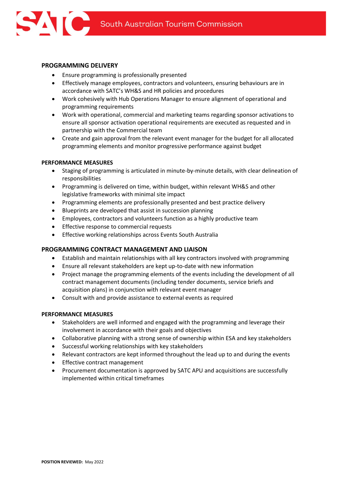

- Ensure programming is professionally presented
- Effectively manage employees, contractors and volunteers, ensuring behaviours are in accordance with SATC's WH&S and HR policies and procedures
- Work cohesively with Hub Operations Manager to ensure alignment of operational and programming requirements
- Work with operational, commercial and marketing teams regarding sponsor activations to ensure all sponsor activation operational requirements are executed as requested and in partnership with the Commercial team
- Create and gain approval from the relevant event manager for the budget for all allocated programming elements and monitor progressive performance against budget

#### **PERFORMANCE MEASURES**

- Staging of programming is articulated in minute-by-minute details, with clear delineation of responsibilities
- Programming is delivered on time, within budget, within relevant WH&S and other legislative frameworks with minimal site impact
- Programming elements are professionally presented and best practice delivery
- Blueprints are developed that assist in succession planning
- Employees, contractors and volunteers function as a highly productive team
- Effective response to commercial requests
- Effective working relationships across Events South Australia

# **PROGRAMMING CONTRACT MANAGEMENT AND LIAISON**

- Establish and maintain relationships with all key contractors involved with programming
- Ensure all relevant stakeholders are kept up-to-date with new information
- Project manage the programming elements of the events including the development of all contract management documents (including tender documents, service briefs and acquisition plans) in conjunction with relevant event manager
- Consult with and provide assistance to external events as required

#### **PERFORMANCE MEASURES**

- Stakeholders are well informed and engaged with the programming and leverage their involvement in accordance with their goals and objectives
- Collaborative planning with a strong sense of ownership within ESA and key stakeholders
- Successful working relationships with key stakeholders
- Relevant contractors are kept informed throughout the lead up to and during the events
- Effective contract management
- Procurement documentation is approved by SATC APU and acquisitions are successfully implemented within critical timeframes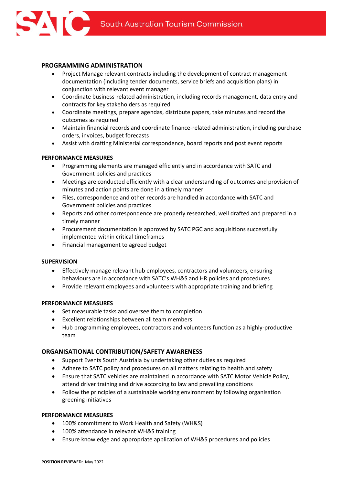# **PROGRAMMING ADMINISTRATION**

- Project Manage relevant contracts including the development of contract management documentation (including tender documents, service briefs and acquisition plans) in conjunction with relevant event manager
- Coordinate business-related administration, including records management, data entry and contracts for key stakeholders as required
- Coordinate meetings, prepare agendas, distribute papers, take minutes and record the outcomes as required
- Maintain financial records and coordinate finance-related administration, including purchase orders, invoices, budget forecasts
- Assist with drafting Ministerial correspondence, board reports and post event reports

#### **PERFORMANCE MEASURES**

- Programming elements are managed efficiently and in accordance with SATC and Government policies and practices
- Meetings are conducted efficiently with a clear understanding of outcomes and provision of minutes and action points are done in a timely manner
- Files, correspondence and other records are handled in accordance with SATC and Government policies and practices
- Reports and other correspondence are properly researched, well drafted and prepared in a timely manner
- Procurement documentation is approved by SATC PGC and acquisitions successfully implemented within critical timeframes
- Financial management to agreed budget

# **SUPERVISION**

- Effectively manage relevant hub employees, contractors and volunteers, ensuring behaviours are in accordance with SATC's WH&S and HR policies and procedures
- Provide relevant employees and volunteers with appropriate training and briefing

#### **PERFORMANCE MEASURES**

- Set measurable tasks and oversee them to completion
- Excellent relationships between all team members
- Hub programming employees, contractors and volunteers function as a highly-productive team

# **ORGANISATIONAL CONTRIBUTION/SAFETY AWARENESS**

- Support Events South Austrlaia by undertaking other duties as required
- Adhere to SATC policy and procedures on all matters relating to health and safety
- Ensure that SATC vehicles are maintained in accordance with SATC Motor Vehicle Policy, attend driver training and drive according to law and prevailing conditions
- Follow the principles of a sustainable working environment by following organisation greening initiatives

#### **PERFORMANCE MEASURES**

- 100% commitment to Work Health and Safety (WH&S)
- 100% attendance in relevant WH&S training
- Ensure knowledge and appropriate application of WH&S procedures and policies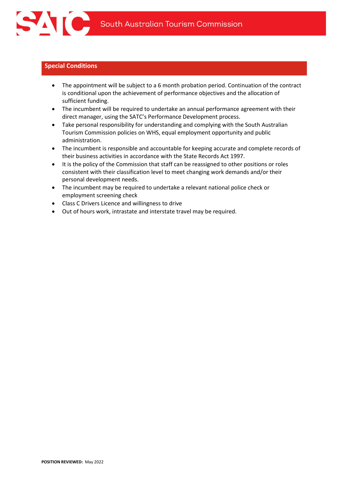

# **Special Conditions**

- The appointment will be subject to a 6 month probation period. Continuation of the contract is conditional upon the achievement of performance objectives and the allocation of sufficient funding.
- The incumbent will be required to undertake an annual performance agreement with their direct manager, using the SATC's Performance Development process.
- Take personal responsibility for understanding and complying with the South Australian Tourism Commission policies on WHS, equal employment opportunity and public administration.
- The incumbent is responsible and accountable for keeping accurate and complete records of their business activities in accordance with the State Records Act 1997.
- It is the policy of the Commission that staff can be reassigned to other positions or roles consistent with their classification level to meet changing work demands and/or their personal development needs.
- The incumbent may be required to undertake a relevant national police check or employment screening check
- Class C Drivers Licence and willingness to drive
- Out of hours work, intrastate and interstate travel may be required.